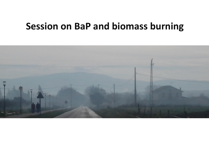## **Session on BaP and biomass burning**

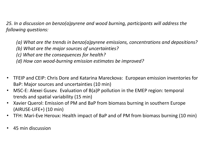*25. In a discussion on benzo(a)pyrene and wood burning, participants will address the following questions:*

*(a) What are the trends in benzo(a)pyrene emissions, concentrations and depositions? (b) What are the major sources of uncertainties? (c) What are the consequences for health? (d) How can wood-burning emission estimates be improved?*

- TFEIP and CEIP: Chris Dore and Katarina Mareckova: European emission inventories for BaP: Major sources and uncertainties (10 min)
- MSC-E: Alexei Gusev. Evaluation of B(a)P pollution in the EMEP region: temporal trends and spatial variability (15 min)
- Xavier Querol: Emission of PM and BaP from biomass burning in southern Europe (AIRUSE-LIFE+) (10 min)
- TFH: Mari-Eve Heroux: Health impact of BaP and of PM from biomass burning (10 min)
- 45 min discussion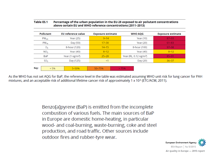|                 |                  | above certain EU and WHO reference concentrations (2011–2013) |                          |      |                                   |                |                          |
|-----------------|------------------|---------------------------------------------------------------|--------------------------|------|-----------------------------------|----------------|--------------------------|
|                 | <b>Pollutant</b> | EU reference value                                            | <b>Exposure estimate</b> |      |                                   | <b>WHO AQG</b> | <b>Exposure estimate</b> |
| $PM_{2.5}$      |                  | Year (25)                                                     | $9 - 14$                 |      | Year (10)                         |                | $87 - 93$                |
|                 | $PM_{10}$        | Day (50)                                                      | $17 - 30$                |      | Year (20)                         |                | $61 - 83$                |
| $O_3$           |                  | 8-hour (120)                                                  | $14 - 15$                |      | 8-hour (100)                      |                | $97 - 98$                |
| NO <sub>2</sub> |                  | Year (40)                                                     | $8 - 12$                 |      | Year $(40)$                       |                | $8 - 12$                 |
|                 | BaP              | Year (1 ng/m <sup>3</sup> )                                   | $25 - 28$                |      | Year (RL, $0.12 \text{ ng/m}^3$ ) |                | $85 - 91$                |
|                 | SO <sub>2</sub>  | Day (125)                                                     | <1                       |      |                                   | Day (20)       | $36 - 37$                |
|                 |                  |                                                               |                          |      |                                   |                |                          |
| Key:            | $< 5\%$          | $5 - 50%$                                                     | $50 - 75%$               | >75% |                                   |                |                          |

Percentage of the urban population in the EU-28 exposed to air pollutant concentrations

**Table ES.1** 

As the WHO has not set AQG for BaP, the reference level in the table was estimated assuming WHO unit risk for lung cancer for PAH mixtures, and an acceptable risk of additional lifetime cancer risk of approximately 1 x 10<sup>5</sup> (ETC/ACM, 2011).

> Benzo[a]pyrene (BaP) is emitted from the incomplete combustion of various fuels. The main sources of BaP in Europe are domestic home-heating, in particular wood- and coal-burning, waste-burning, coke and steel production, and road traffic. Other sources include outdoor fires and rubber-tyre wear.



Air quality in Europe - 2015 report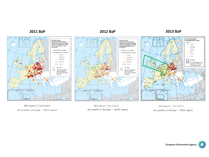

EEA Report No 9/2013 Air quality in Europe - 2013 report

EEA Report | No 5/2014 Air quality in Europe - 2014 report

EEA Report No 5/2015 Air quality in Europe - 2015 report

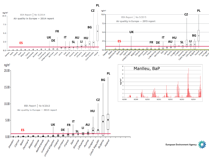